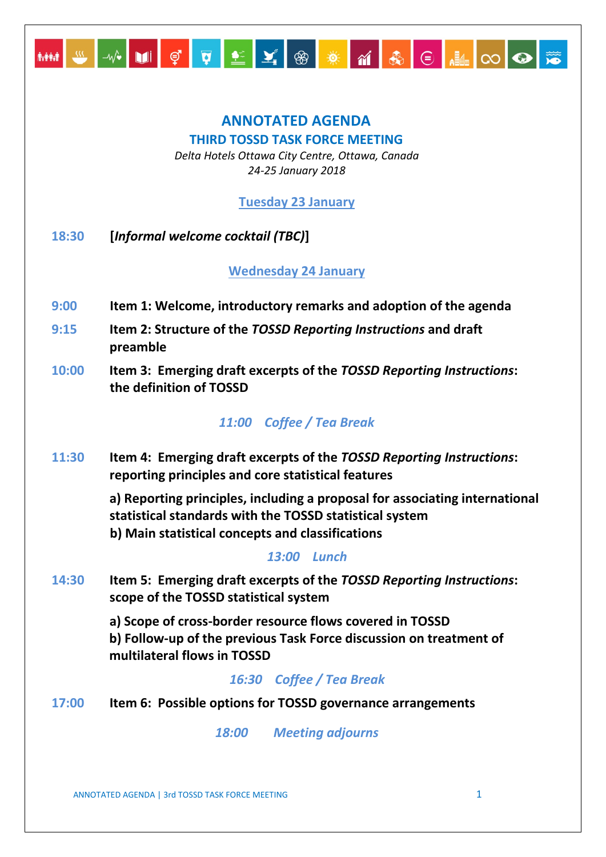

# **ANNOTATED AGENDA THIRD TOSSD TASK FORCE MEETING**

*Delta Hotels Ottawa City Centre, Ottawa, Canada 24-25 January 2018*

**Tuesday 23 January** 

**18:30 [***Informal welcome cocktail (TBC)***]**

**Wednesday 24 January** 

- **9:00 Item 1: Welcome, introductory remarks and adoption of the agenda**
- **9:15 Item 2: Structure of the** *TOSSD Reporting Instructions* **and draft preamble**
- **10:00 Item 3: Emerging draft excerpts of the** *TOSSD Reporting Instructions***: the definition of TOSSD**

# *11:00 Coffee / Tea Break*

**11:30 Item 4: Emerging draft excerpts of the** *TOSSD Reporting Instructions***: reporting principles and core statistical features** 

> **a) Reporting principles, including a proposal for associating international statistical standards with the TOSSD statistical system b) Main statistical concepts and classifications**

#### *13:00 Lunch*

**14:30 Item 5: Emerging draft excerpts of the** *TOSSD Reporting Instructions***: scope of the TOSSD statistical system**

> **a) Scope of cross-border resource flows covered in TOSSD b) Follow-up of the previous Task Force discussion on treatment of multilateral flows in TOSSD**

# *16:30 Coffee / Tea Break*

**17:00 Item 6: Possible options for TOSSD governance arrangements** 

*18:00 Meeting adjourns*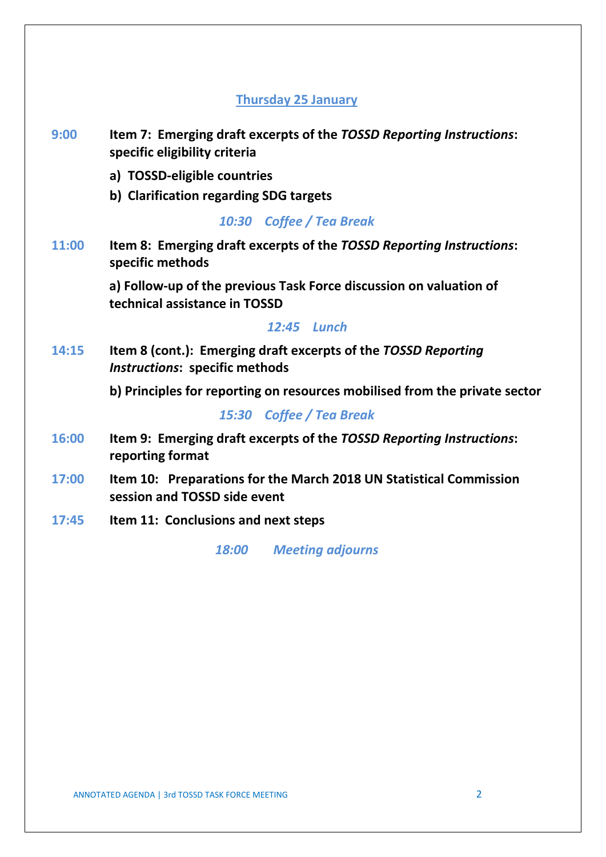#### **Thursday 25 January**

- **9:00 Item 7: Emerging draft excerpts of the** *TOSSD Reporting Instructions***: specific eligibility criteria** 
	- **a) TOSSD-eligible countries**
	- **b) Clarification regarding SDG targets**

*10:30 Coffee / Tea Break*

**11:00 Item 8: Emerging draft excerpts of the** *TOSSD Reporting Instructions***: specific methods**

> **a) Follow-up of the previous Task Force discussion on valuation of technical assistance in TOSSD**

#### *12:45 Lunch*

**14:15 Item 8 (cont.): Emerging draft excerpts of the** *TOSSD Reporting Instructions***: specific methods**

**b) Principles for reporting on resources mobilised from the private sector**

#### *15:30 Coffee / Tea Break*

- **16:00 Item 9: Emerging draft excerpts of the** *TOSSD Reporting Instructions***: reporting format**
- **17:00 Item 10: Preparations for the March 2018 UN Statistical Commission session and TOSSD side event**
- **17:45 Item 11: Conclusions and next steps**

*18:00 Meeting adjourns*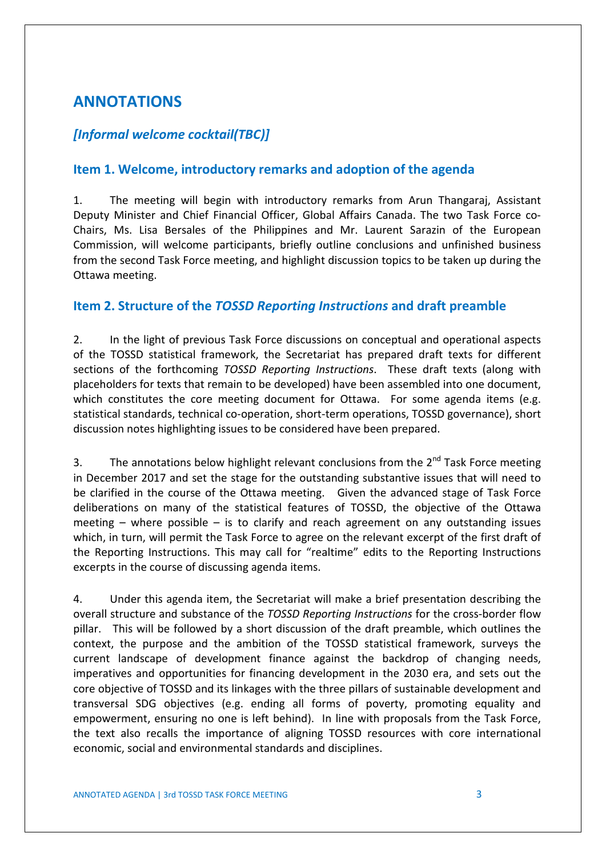# **ANNOTATIONS**

#### *[Informal welcome cocktail(TBC)]*

#### **Item 1. Welcome, introductory remarks and adoption of the agenda**

1. The meeting will begin with introductory remarks from Arun Thangaraj, Assistant Deputy Minister and Chief Financial Officer, Global Affairs Canada. The two Task Force co-Chairs, Ms. Lisa Bersales of the Philippines and Mr. Laurent Sarazin of the European Commission, will welcome participants, briefly outline conclusions and unfinished business from the second Task Force meeting, and highlight discussion topics to be taken up during the Ottawa meeting.

#### **Item 2. Structure of the** *TOSSD Reporting Instructions* **and draft preamble**

2. In the light of previous Task Force discussions on conceptual and operational aspects of the TOSSD statistical framework, the Secretariat has prepared draft texts for different sections of the forthcoming *TOSSD Reporting Instructions*. These draft texts (along with placeholders for texts that remain to be developed) have been assembled into one document, which constitutes the core meeting document for Ottawa. For some agenda items (e.g. statistical standards, technical co-operation, short-term operations, TOSSD governance), short discussion notes highlighting issues to be considered have been prepared.

3. The annotations below highlight relevant conclusions from the  $2^{nd}$  Task Force meeting in December 2017 and set the stage for the outstanding substantive issues that will need to be clarified in the course of the Ottawa meeting. Given the advanced stage of Task Force deliberations on many of the statistical features of TOSSD, the objective of the Ottawa meeting  $-$  where possible  $-$  is to clarify and reach agreement on any outstanding issues which, in turn, will permit the Task Force to agree on the relevant excerpt of the first draft of the Reporting Instructions. This may call for "realtime" edits to the Reporting Instructions excerpts in the course of discussing agenda items.

4. Under this agenda item, the Secretariat will make a brief presentation describing the overall structure and substance of the *TOSSD Reporting Instructions* for the cross-border flow pillar. This will be followed by a short discussion of the draft preamble, which outlines the context, the purpose and the ambition of the TOSSD statistical framework, surveys the current landscape of development finance against the backdrop of changing needs, imperatives and opportunities for financing development in the 2030 era, and sets out the core objective of TOSSD and its linkages with the three pillars of sustainable development and transversal SDG objectives (e.g. ending all forms of poverty, promoting equality and empowerment, ensuring no one is left behind). In line with proposals from the Task Force, the text also recalls the importance of aligning TOSSD resources with core international economic, social and environmental standards and disciplines.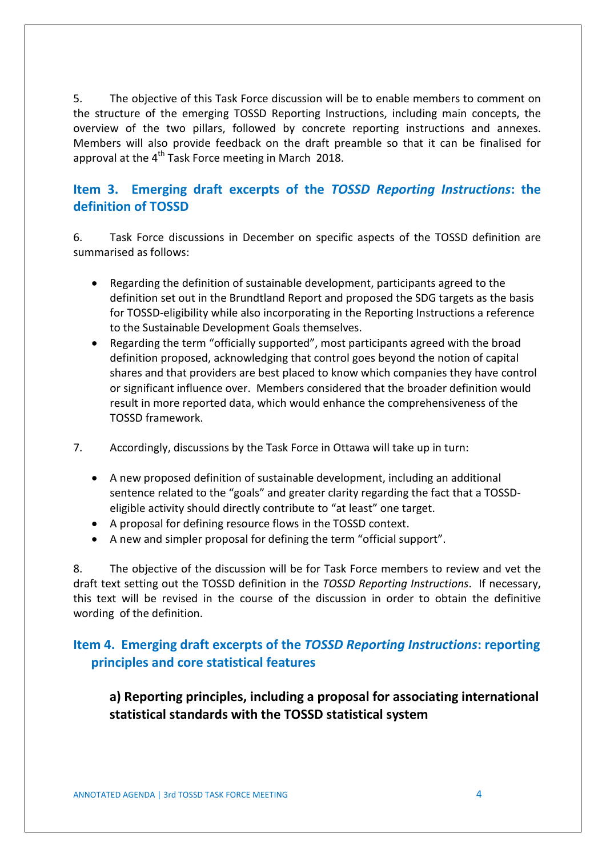5. The objective of this Task Force discussion will be to enable members to comment on the structure of the emerging TOSSD Reporting Instructions, including main concepts, the overview of the two pillars, followed by concrete reporting instructions and annexes. Members will also provide feedback on the draft preamble so that it can be finalised for approval at the  $4^{th}$  Task Force meeting in March 2018.

#### **Item 3. Emerging draft excerpts of the** *TOSSD Reporting Instructions***: the definition of TOSSD**

6. Task Force discussions in December on specific aspects of the TOSSD definition are summarised as follows:

- Regarding the definition of sustainable development, participants agreed to the definition set out in the Brundtland Report and proposed the SDG targets as the basis for TOSSD-eligibility while also incorporating in the Reporting Instructions a reference to the Sustainable Development Goals themselves.
- Regarding the term "officially supported", most participants agreed with the broad definition proposed, acknowledging that control goes beyond the notion of capital shares and that providers are best placed to know which companies they have control or significant influence over. Members considered that the broader definition would result in more reported data, which would enhance the comprehensiveness of the TOSSD framework.
- 7. Accordingly, discussions by the Task Force in Ottawa will take up in turn:
	- A new proposed definition of sustainable development, including an additional sentence related to the "goals" and greater clarity regarding the fact that a TOSSDeligible activity should directly contribute to "at least" one target.
	- A proposal for defining resource flows in the TOSSD context.
	- A new and simpler proposal for defining the term "official support".

8. The objective of the discussion will be for Task Force members to review and vet the draft text setting out the TOSSD definition in the *TOSSD Reporting Instructions*. If necessary, this text will be revised in the course of the discussion in order to obtain the definitive wording of the definition.

### **Item 4. Emerging draft excerpts of the** *TOSSD Reporting Instructions***: reporting principles and core statistical features**

**a) Reporting principles, including a proposal for associating international statistical standards with the TOSSD statistical system**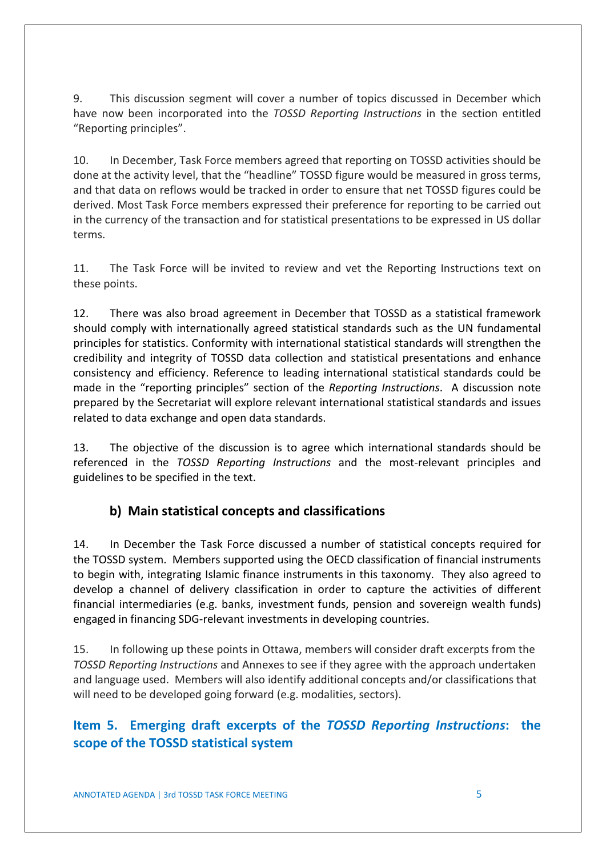9. This discussion segment will cover a number of topics discussed in December which have now been incorporated into the *TOSSD Reporting Instructions* in the section entitled "Reporting principles".

10. In December, Task Force members agreed that reporting on TOSSD activities should be done at the activity level, that the "headline" TOSSD figure would be measured in gross terms, and that data on reflows would be tracked in order to ensure that net TOSSD figures could be derived. Most Task Force members expressed their preference for reporting to be carried out in the currency of the transaction and for statistical presentations to be expressed in US dollar terms.

11. The Task Force will be invited to review and vet the Reporting Instructions text on these points.

12. There was also broad agreement in December that TOSSD as a statistical framework should comply with internationally agreed statistical standards such as the UN fundamental principles for statistics. Conformity with international statistical standards will strengthen the credibility and integrity of TOSSD data collection and statistical presentations and enhance consistency and efficiency. Reference to leading international statistical standards could be made in the "reporting principles" section of the *Reporting Instructions*. A discussion note prepared by the Secretariat will explore relevant international statistical standards and issues related to data exchange and open data standards.

13. The objective of the discussion is to agree which international standards should be referenced in the *TOSSD Reporting Instructions* and the most-relevant principles and guidelines to be specified in the text.

### **b) Main statistical concepts and classifications**

14. In December the Task Force discussed a number of statistical concepts required for the TOSSD system. Members supported using the OECD classification of financial instruments to begin with, integrating Islamic finance instruments in this taxonomy. They also agreed to develop a channel of delivery classification in order to capture the activities of different financial intermediaries (e.g. banks, investment funds, pension and sovereign wealth funds) engaged in financing SDG-relevant investments in developing countries.

15. In following up these points in Ottawa, members will consider draft excerpts from the *TOSSD Reporting Instructions* and Annexes to see if they agree with the approach undertaken and language used. Members will also identify additional concepts and/or classifications that will need to be developed going forward (e.g. modalities, sectors).

### **Item 5. Emerging draft excerpts of the** *TOSSD Reporting Instructions***: the scope of the TOSSD statistical system**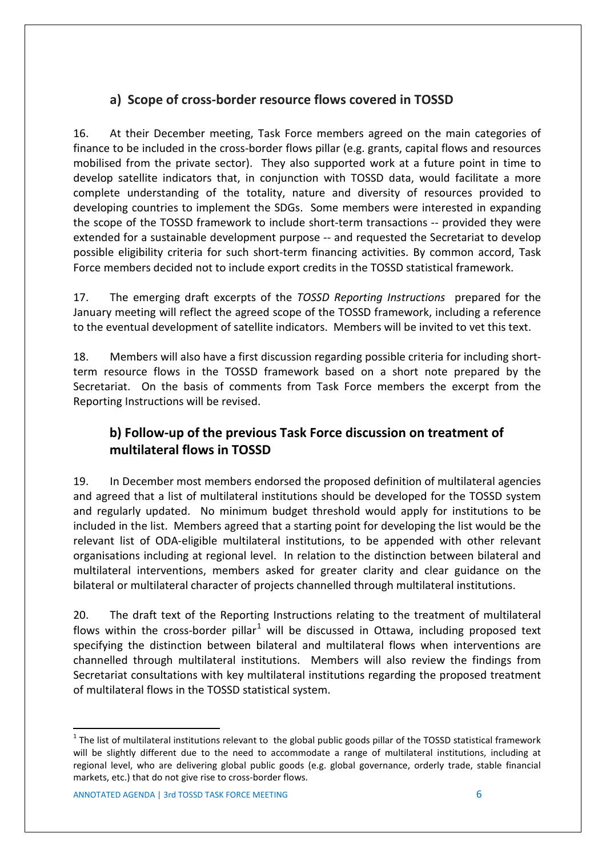# **a) Scope of cross-border resource flows covered in TOSSD**

16. At their December meeting, Task Force members agreed on the main categories of finance to be included in the cross-border flows pillar (e.g. grants, capital flows and resources mobilised from the private sector). They also supported work at a future point in time to develop satellite indicators that, in conjunction with TOSSD data, would facilitate a more complete understanding of the totality, nature and diversity of resources provided to developing countries to implement the SDGs. Some members were interested in expanding the scope of the TOSSD framework to include short-term transactions -- provided they were extended for a sustainable development purpose -- and requested the Secretariat to develop possible eligibility criteria for such short-term financing activities. By common accord, Task Force members decided not to include export credits in the TOSSD statistical framework.

17. The emerging draft excerpts of the *TOSSD Reporting Instructions* prepared for the January meeting will reflect the agreed scope of the TOSSD framework, including a reference to the eventual development of satellite indicators. Members will be invited to vet this text.

18. Members will also have a first discussion regarding possible criteria for including shortterm resource flows in the TOSSD framework based on a short note prepared by the Secretariat. On the basis of comments from Task Force members the excerpt from the Reporting Instructions will be revised.

# **b) Follow-up of the previous Task Force discussion on treatment of multilateral flows in TOSSD**

19. In December most members endorsed the proposed definition of multilateral agencies and agreed that a list of multilateral institutions should be developed for the TOSSD system and regularly updated. No minimum budget threshold would apply for institutions to be included in the list. Members agreed that a starting point for developing the list would be the relevant list of ODA-eligible multilateral institutions, to be appended with other relevant organisations including at regional level. In relation to the distinction between bilateral and multilateral interventions, members asked for greater clarity and clear guidance on the bilateral or multilateral character of projects channelled through multilateral institutions.

20. The draft text of the Reporting Instructions relating to the treatment of multilateral flows within the cross-border pillar<sup>[1](#page-5-0)</sup> will be discussed in Ottawa, including proposed text specifying the distinction between bilateral and multilateral flows when interventions are channelled through multilateral institutions. Members will also review the findings from Secretariat consultations with key multilateral institutions regarding the proposed treatment of multilateral flows in the TOSSD statistical system.

<span id="page-5-0"></span> $1$  The list of multilateral institutions relevant to the global public goods pillar of the TOSSD statistical framework will be slightly different due to the need to accommodate a range of multilateral institutions, including at regional level, who are delivering global public goods (e.g. global governance, orderly trade, stable financial markets, etc.) that do not give rise to cross-border flows.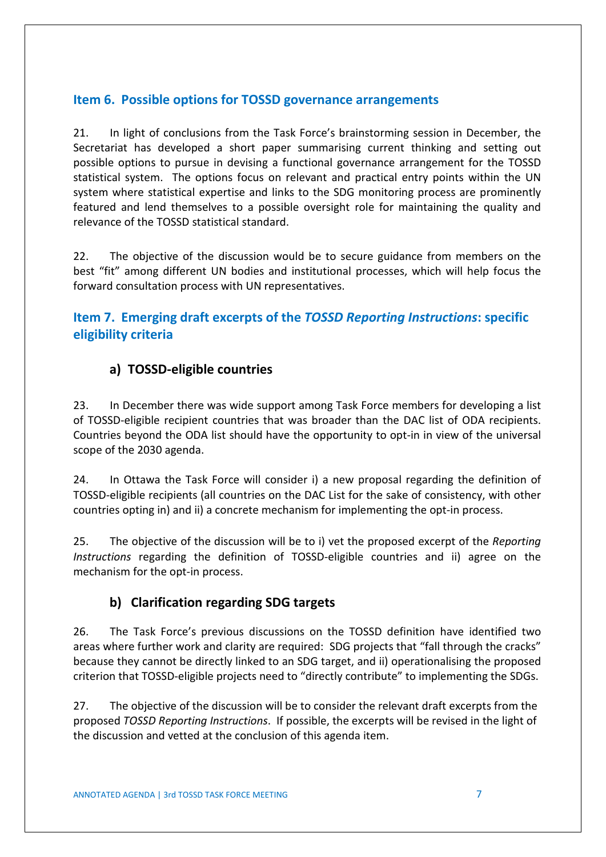### **Item 6. Possible options for TOSSD governance arrangements**

21. In light of conclusions from the Task Force's brainstorming session in December, the Secretariat has developed a short paper summarising current thinking and setting out possible options to pursue in devising a functional governance arrangement for the TOSSD statistical system. The options focus on relevant and practical entry points within the UN system where statistical expertise and links to the SDG monitoring process are prominently featured and lend themselves to a possible oversight role for maintaining the quality and relevance of the TOSSD statistical standard.

22. The objective of the discussion would be to secure guidance from members on the best "fit" among different UN bodies and institutional processes, which will help focus the forward consultation process with UN representatives.

### **Item 7. Emerging draft excerpts of the** *TOSSD Reporting Instructions***: specific eligibility criteria**

### **a) TOSSD-eligible countries**

23. In December there was wide support among Task Force members for developing a list of TOSSD-eligible recipient countries that was broader than the DAC list of ODA recipients. Countries beyond the ODA list should have the opportunity to opt-in in view of the universal scope of the 2030 agenda.

24. In Ottawa the Task Force will consider i) a new proposal regarding the definition of TOSSD-eligible recipients (all countries on the DAC List for the sake of consistency, with other countries opting in) and ii) a concrete mechanism for implementing the opt-in process.

25. The objective of the discussion will be to i) vet the proposed excerpt of the *Reporting Instructions* regarding the definition of TOSSD-eligible countries and ii) agree on the mechanism for the opt-in process.

### **b) Clarification regarding SDG targets**

26. The Task Force's previous discussions on the TOSSD definition have identified two areas where further work and clarity are required: SDG projects that "fall through the cracks" because they cannot be directly linked to an SDG target, and ii) operationalising the proposed criterion that TOSSD-eligible projects need to "directly contribute" to implementing the SDGs.

27. The objective of the discussion will be to consider the relevant draft excerpts from the proposed *TOSSD Reporting Instructions*. If possible, the excerpts will be revised in the light of the discussion and vetted at the conclusion of this agenda item.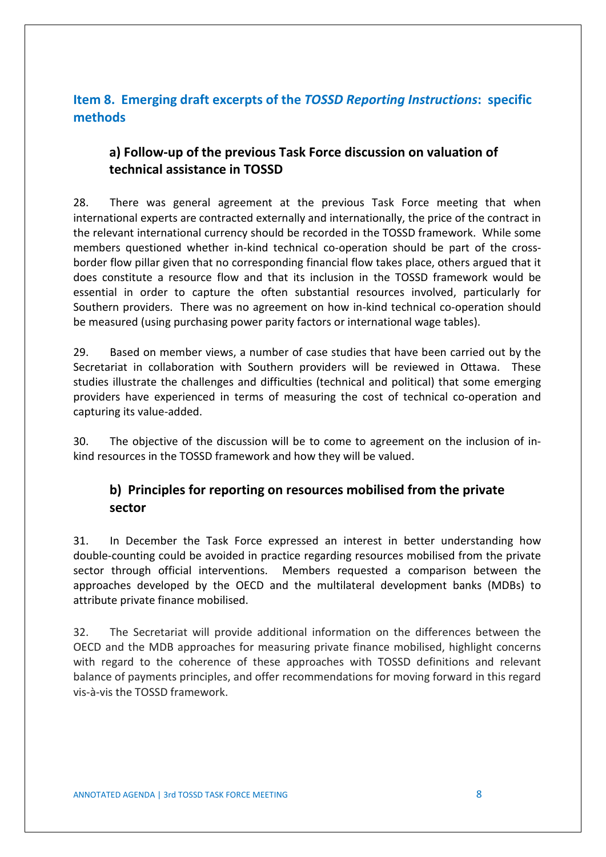# **Item 8. Emerging draft excerpts of the** *TOSSD Reporting Instructions***: specific methods**

# **a) Follow-up of the previous Task Force discussion on valuation of technical assistance in TOSSD**

28. There was general agreement at the previous Task Force meeting that when international experts are contracted externally and internationally, the price of the contract in the relevant international currency should be recorded in the TOSSD framework. While some members questioned whether in-kind technical co-operation should be part of the crossborder flow pillar given that no corresponding financial flow takes place, others argued that it does constitute a resource flow and that its inclusion in the TOSSD framework would be essential in order to capture the often substantial resources involved, particularly for Southern providers. There was no agreement on how in-kind technical co-operation should be measured (using purchasing power parity factors or international wage tables).

29. Based on member views, a number of case studies that have been carried out by the Secretariat in collaboration with Southern providers will be reviewed in Ottawa. These studies illustrate the challenges and difficulties (technical and political) that some emerging providers have experienced in terms of measuring the cost of technical co-operation and capturing its value-added.

30. The objective of the discussion will be to come to agreement on the inclusion of inkind resources in the TOSSD framework and how they will be valued.

# **b) Principles for reporting on resources mobilised from the private sector**

31. In December the Task Force expressed an interest in better understanding how double-counting could be avoided in practice regarding resources mobilised from the private sector through official interventions. Members requested a comparison between the approaches developed by the OECD and the multilateral development banks (MDBs) to attribute private finance mobilised.

32. The Secretariat will provide additional information on the differences between the OECD and the MDB approaches for measuring private finance mobilised, highlight concerns with regard to the coherence of these approaches with TOSSD definitions and relevant balance of payments principles, and offer recommendations for moving forward in this regard vis-à-vis the TOSSD framework.